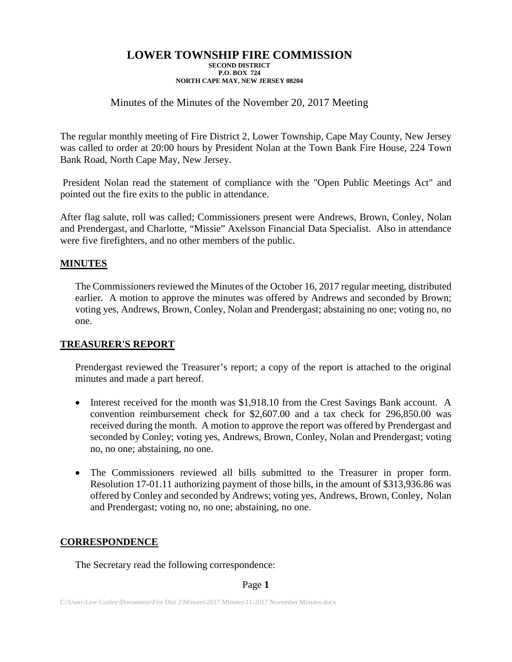## Minutes of the Minutes of the November 20, 2017 Meeting

The regular monthly meeting of Fire District 2, Lower Township, Cape May County, New Jersey was called to order at 20:00 hours by President Nolan at the Town Bank Fire House, 224 Town Bank Road, North Cape May, New Jersey.

President Nolan read the statement of compliance with the "Open Public Meetings Act" and pointed out the fire exits to the public in attendance.

After flag salute, roll was called; Commissioners present were Andrews, Brown, Conley, Nolan and Prendergast, and Charlotte, "Missie" Axelsson Financial Data Specialist. Also in attendance were five firefighters, and no other members of the public.

### **MINUTES**

The Commissioners reviewed the Minutes of the October 16, 2017 regular meeting, distributed earlier. A motion to approve the minutes was offered by Andrews and seconded by Brown; voting yes, Andrews, Brown, Conley, Nolan and Prendergast; abstaining no one; voting no, no one.

### **TREASURER'S REPORT**

Prendergast reviewed the Treasurer's report; a copy of the report is attached to the original minutes and made a part hereof.

- Interest received for the month was \$1,918.10 from the Crest Savings Bank account. A convention reimbursement check for \$2,607.00 and a tax check for 296,850.00 was received during the month. A motion to approve the report was offered by Prendergast and seconded by Conley; voting yes, Andrews, Brown, Conley, Nolan and Prendergast; voting no, no one; abstaining, no one.
- The Commissioners reviewed all bills submitted to the Treasurer in proper form. Resolution 17-01.11 authorizing payment of those bills, in the amount of \$313,936.86 was offered by Conley and seconded by Andrews; voting yes, Andrews, Brown, Conley, Nolan and Prendergast; voting no, no one; abstaining, no one.

### **CORRESPONDENCE**

The Secretary read the following correspondence:

Page **1**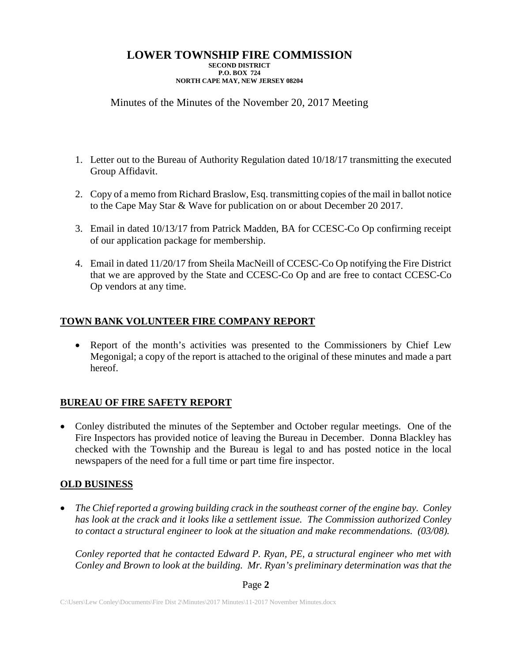# Minutes of the Minutes of the November 20, 2017 Meeting

- 1. Letter out to the Bureau of Authority Regulation dated 10/18/17 transmitting the executed Group Affidavit.
- 2. Copy of a memo from Richard Braslow, Esq. transmitting copies of the mail in ballot notice to the Cape May Star & Wave for publication on or about December 20 2017.
- 3. Email in dated 10/13/17 from Patrick Madden, BA for CCESC-Co Op confirming receipt of our application package for membership.
- 4. Email in dated 11/20/17 from Sheila MacNeill of CCESC-Co Op notifying the Fire District that we are approved by the State and CCESC-Co Op and are free to contact CCESC-Co Op vendors at any time.

# **TOWN BANK VOLUNTEER FIRE COMPANY REPORT**

• Report of the month's activities was presented to the Commissioners by Chief Lew Megonigal; a copy of the report is attached to the original of these minutes and made a part hereof.

## **BUREAU OF FIRE SAFETY REPORT**

• Conley distributed the minutes of the September and October regular meetings. One of the Fire Inspectors has provided notice of leaving the Bureau in December. Donna Blackley has checked with the Township and the Bureau is legal to and has posted notice in the local newspapers of the need for a full time or part time fire inspector.

## **OLD BUSINESS**

• *The Chief reported a growing building crack in the southeast corner of the engine bay. Conley has look at the crack and it looks like a settlement issue. The Commission authorized Conley to contact a structural engineer to look at the situation and make recommendations. (03/08).*

*Conley reported that he contacted Edward P. Ryan, PE, a structural engineer who met with Conley and Brown to look at the building. Mr. Ryan's preliminary determination was that the* 

### Page **2**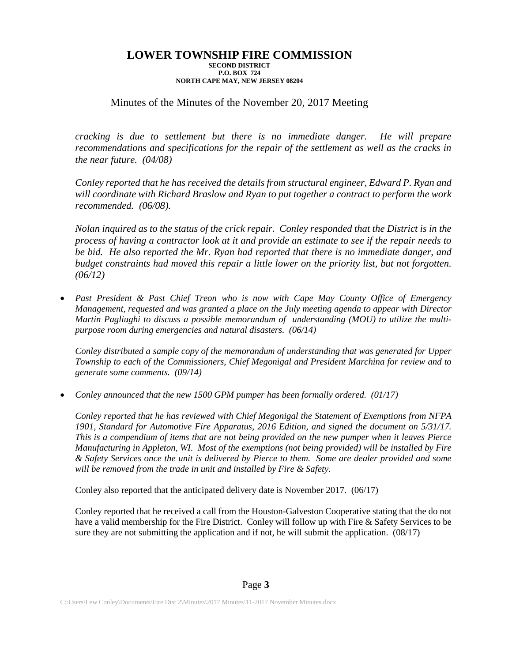### Minutes of the Minutes of the November 20, 2017 Meeting

*cracking is due to settlement but there is no immediate danger. He will prepare recommendations and specifications for the repair of the settlement as well as the cracks in the near future. (04/08)*

*Conley reported that he has received the details from structural engineer, Edward P. Ryan and will coordinate with Richard Braslow and Ryan to put together a contract to perform the work recommended. (06/08).*

*Nolan inquired as to the status of the crick repair. Conley responded that the District is in the process of having a contractor look at it and provide an estimate to see if the repair needs to be bid. He also reported the Mr. Ryan had reported that there is no immediate danger, and budget constraints had moved this repair a little lower on the priority list, but not forgotten. (06/12)*

• *Past President & Past Chief Treon who is now with Cape May County Office of Emergency Management, requested and was granted a place on the July meeting agenda to appear with Director Martin Pagliughi to discuss a possible memorandum of understanding (MOU) to utilize the multipurpose room during emergencies and natural disasters. (06/14)*

*Conley distributed a sample copy of the memorandum of understanding that was generated for Upper Township to each of the Commissioners, Chief Megonigal and President Marchina for review and to generate some comments. (09/14)*

• *Conley announced that the new 1500 GPM pumper has been formally ordered. (01/17)*

*Conley reported that he has reviewed with Chief Megonigal the Statement of Exemptions from NFPA 1901, Standard for Automotive Fire Apparatus, 2016 Edition, and signed the document on 5/31/17. This is a compendium of items that are not being provided on the new pumper when it leaves Pierce Manufacturing in Appleton, WI. Most of the exemptions (not being provided) will be installed by Fire & Safety Services once the unit is delivered by Pierce to them. Some are dealer provided and some will be removed from the trade in unit and installed by Fire & Safety.*

Conley also reported that the anticipated delivery date is November 2017. (06/17)

Conley reported that he received a call from the Houston-Galveston Cooperative stating that the do not have a valid membership for the Fire District. Conley will follow up with Fire & Safety Services to be sure they are not submitting the application and if not, he will submit the application.  $(08/17)$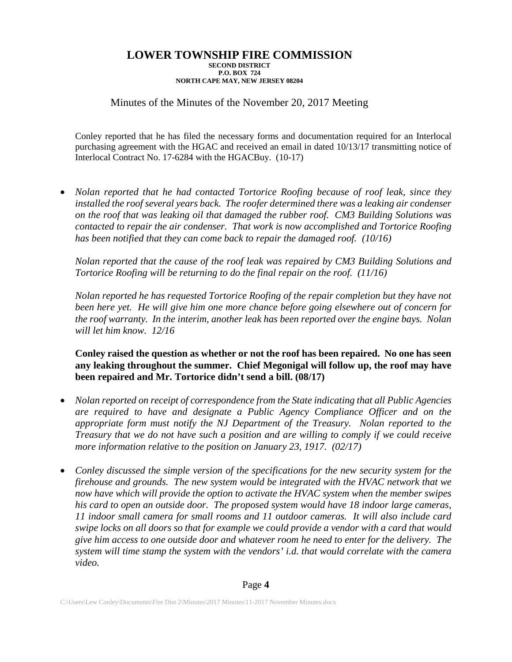Minutes of the Minutes of the November 20, 2017 Meeting

Conley reported that he has filed the necessary forms and documentation required for an Interlocal purchasing agreement with the HGAC and received an email in dated 10/13/17 transmitting notice of Interlocal Contract No. 17-6284 with the HGACBuy. (10-17)

• *Nolan reported that he had contacted Tortorice Roofing because of roof leak, since they installed the roof several years back. The roofer determined there was a leaking air condenser on the roof that was leaking oil that damaged the rubber roof. CM3 Building Solutions was contacted to repair the air condenser. That work is now accomplished and Tortorice Roofing has been notified that they can come back to repair the damaged roof. (10/16)*

*Nolan reported that the cause of the roof leak was repaired by CM3 Building Solutions and Tortorice Roofing will be returning to do the final repair on the roof.* (11/16)

*Nolan reported he has requested Tortorice Roofing of the repair completion but they have not*  been here yet. He will give him one more chance before going elsewhere out of concern for *the roof warranty. In the interim, another leak has been reported over the engine bays. Nolan will let him know. 12/16*

**Conley raised the question as whether or not the roof has been repaired. No one has seen any leaking throughout the summer. Chief Megonigal will follow up, the roof may have been repaired and Mr. Tortorice didn't send a bill. (08/17)**

- *Nolan reported on receipt of correspondence from the State indicating that all Public Agencies are required to have and designate a Public Agency Compliance Officer and on the appropriate form must notify the NJ Department of the Treasury. Nolan reported to the Treasury that we do not have such a position and are willing to comply if we could receive more information relative to the position on January 23, 1917. (02/17)*
- *Conley discussed the simple version of the specifications for the new security system for the firehouse and grounds. The new system would be integrated with the HVAC network that we now have which will provide the option to activate the HVAC system when the member swipes his card to open an outside door. The proposed system would have 18 indoor large cameras, 11 indoor small camera for small rooms and 11 outdoor cameras. It will also include card swipe locks on all doors so that for example we could provide a vendor with a card that would give him access to one outside door and whatever room he need to enter for the delivery. The system will time stamp the system with the vendors' i.d. that would correlate with the camera video.*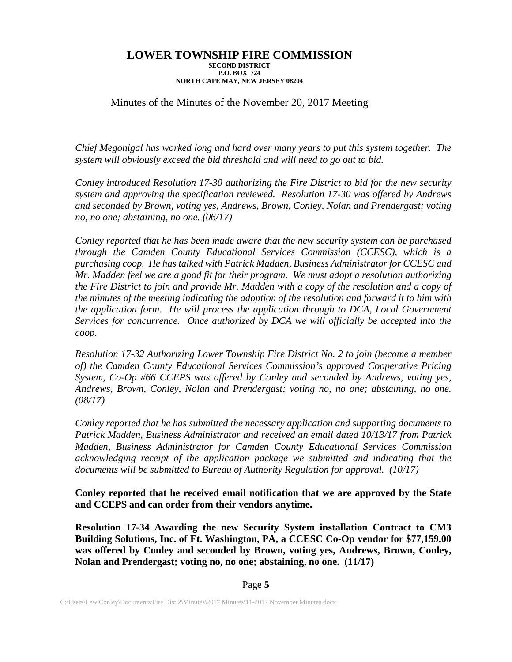## Minutes of the Minutes of the November 20, 2017 Meeting

*Chief Megonigal has worked long and hard over many years to put this system together. The system will obviously exceed the bid threshold and will need to go out to bid.* 

*Conley introduced Resolution 17-30 authorizing the Fire District to bid for the new security system and approving the specification reviewed. Resolution 17-30 was offered by Andrews and seconded by Brown, voting yes, Andrews, Brown, Conley, Nolan and Prendergast; voting no, no one; abstaining, no one. (06/17)*

*Conley reported that he has been made aware that the new security system can be purchased through the Camden County Educational Services Commission (CCESC), which is a purchasing coop. He has talked with Patrick Madden, Business Administrator for CCESC and Mr. Madden feel we are a good fit for their program. We must adopt a resolution authorizing the Fire District to join and provide Mr. Madden with a copy of the resolution and a copy of the minutes of the meeting indicating the adoption of the resolution and forward it to him with the application form. He will process the application through to DCA, Local Government Services for concurrence. Once authorized by DCA we will officially be accepted into the coop.*

*Resolution 17-32 Authorizing Lower Township Fire District No. 2 to join (become a member of) the Camden County Educational Services Commission's approved Cooperative Pricing System, Co-Op #66 CCEPS was offered by Conley and seconded by Andrews, voting yes, Andrews, Brown, Conley, Nolan and Prendergast; voting no, no one; abstaining, no one. (08/17)*

*Conley reported that he has submitted the necessary application and supporting documents to Patrick Madden, Business Administrator and received an email dated 10/13/17 from Patrick Madden, Business Administrator for Camden County Educational Services Commission acknowledging receipt of the application package we submitted and indicating that the documents will be submitted to Bureau of Authority Regulation for approval. (10/17)*

**Conley reported that he received email notification that we are approved by the State and CCEPS and can order from their vendors anytime.**

**Resolution 17-34 Awarding the new Security System installation Contract to CM3 Building Solutions, Inc. of Ft. Washington, PA, a CCESC Co-Op vendor for \$77,159.00 was offered by Conley and seconded by Brown, voting yes, Andrews, Brown, Conley, Nolan and Prendergast; voting no, no one; abstaining, no one. (11/17)**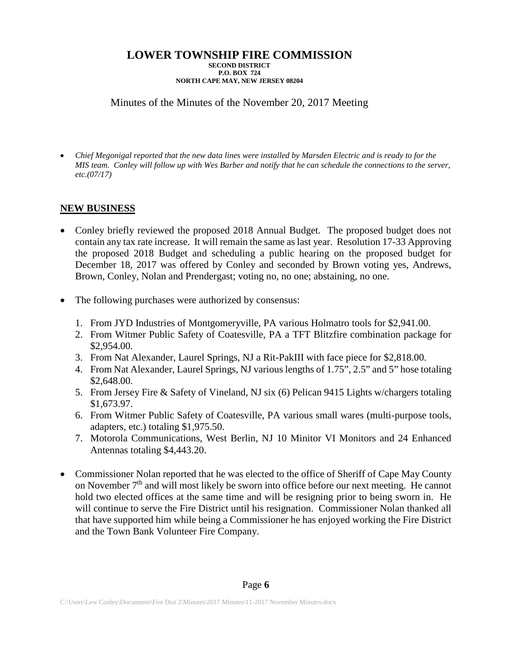Minutes of the Minutes of the November 20, 2017 Meeting

• *Chief Megonigal reported that the new data lines were installed by Marsden Electric and is ready to for the MIS team. Conley will follow up with Wes Barber and notify that he can schedule the connections to the server, etc.(07/17)*

## **NEW BUSINESS**

- Conley briefly reviewed the proposed 2018 Annual Budget. The proposed budget does not contain any tax rate increase. It will remain the same as last year. Resolution 17-33 Approving the proposed 2018 Budget and scheduling a public hearing on the proposed budget for December 18, 2017 was offered by Conley and seconded by Brown voting yes, Andrews, Brown, Conley, Nolan and Prendergast; voting no, no one; abstaining, no one.
- The following purchases were authorized by consensus:
	- 1. From JYD Industries of Montgomeryville, PA various Holmatro tools for \$2,941.00.
	- 2. From Witmer Public Safety of Coatesville, PA a TFT Blitzfire combination package for \$2,954.00.
	- 3. From Nat Alexander, Laurel Springs, NJ a Rit-PakIII with face piece for \$2,818.00.
	- 4. From Nat Alexander, Laurel Springs, NJ various lengths of 1.75", 2.5" and 5" hose totaling \$2,648.00.
	- 5. From Jersey Fire & Safety of Vineland, NJ six (6) Pelican 9415 Lights w/chargers totaling \$1,673.97.
	- 6. From Witmer Public Safety of Coatesville, PA various small wares (multi-purpose tools, adapters, etc.) totaling \$1,975.50.
	- 7. Motorola Communications, West Berlin, NJ 10 Minitor VI Monitors and 24 Enhanced Antennas totaling \$4,443.20.
- Commissioner Nolan reported that he was elected to the office of Sheriff of Cape May County on November  $7<sup>th</sup>$  and will most likely be sworn into office before our next meeting. He cannot hold two elected offices at the same time and will be resigning prior to being sworn in. He will continue to serve the Fire District until his resignation. Commissioner Nolan thanked all that have supported him while being a Commissioner he has enjoyed working the Fire District and the Town Bank Volunteer Fire Company.